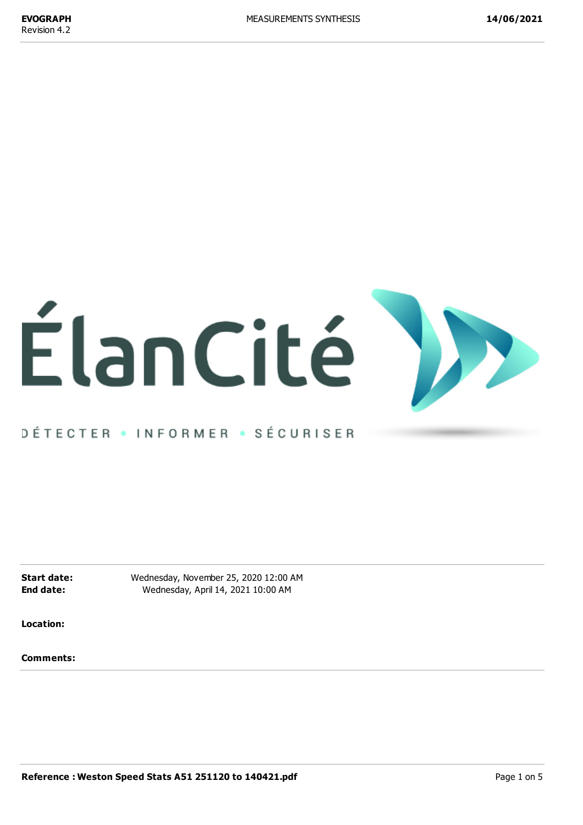

# DÉTECTER • INFORMER • SÉCURISER

**Start date:** Wednesday, November 25, 2020 12:00 AM **End date:** Wednesday, April 14, 2021 10:00 AM

**Location:**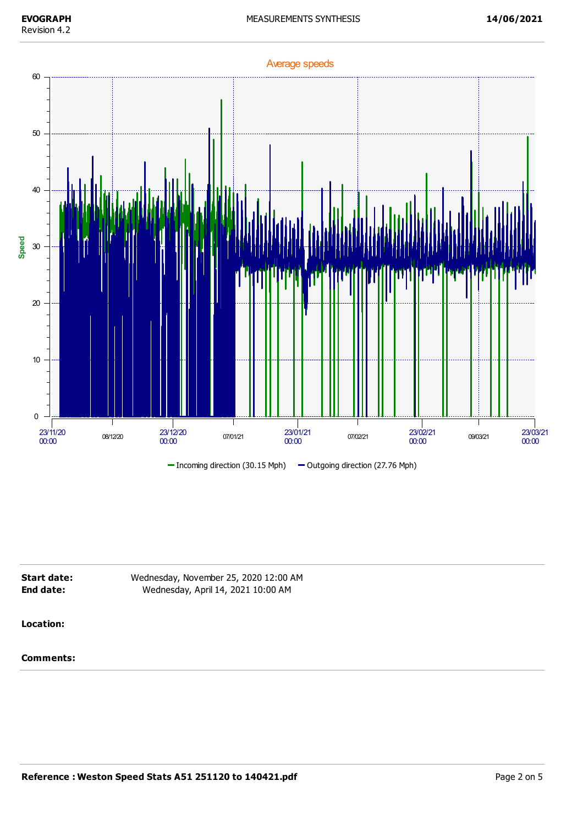

| Start date: | Wednesday, November 25, 2020 12:00 AM |  |
|-------------|---------------------------------------|--|
| End date:   | Wednesday, April 14, 2021 10:00 AM    |  |
|             |                                       |  |
| Location:   |                                       |  |
|             |                                       |  |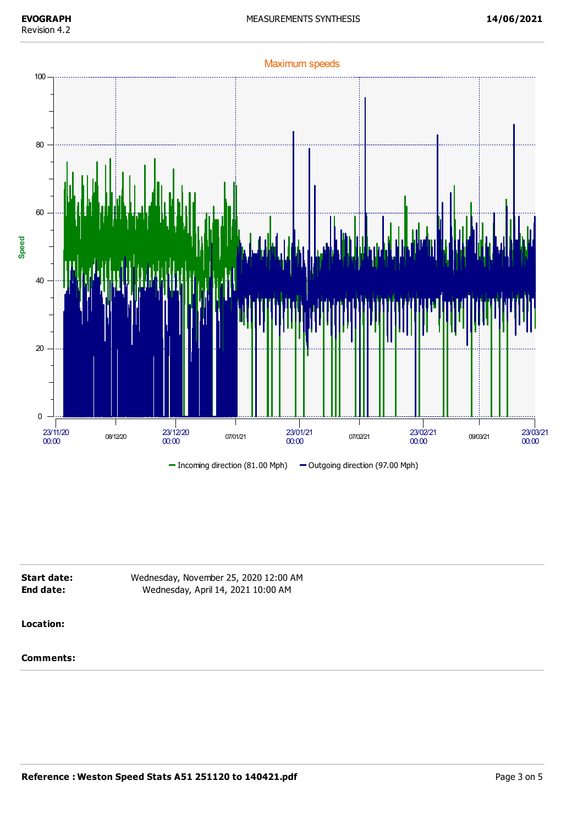

| Start date: | Wednesday, November 25, 2020 12:00 AM |  |
|-------------|---------------------------------------|--|
| End date:   | Wednesday, April 14, 2021 10:00 AM    |  |
|             |                                       |  |
|             |                                       |  |

## **Location:**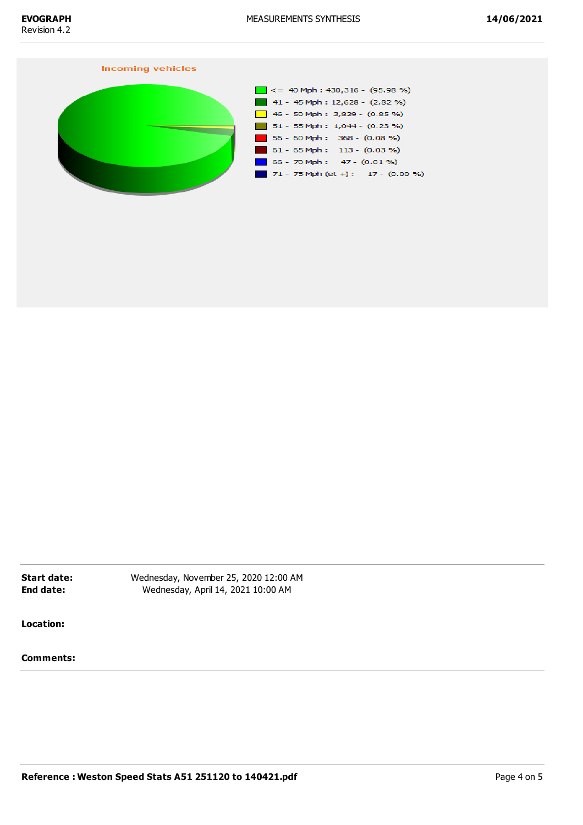#### **Incoming vehicles**



**Start date:** Wednesday, November 25, 2020 12:00 AM **End date:** Wednesday, April 14, 2021 10:00 AM

**Location:**